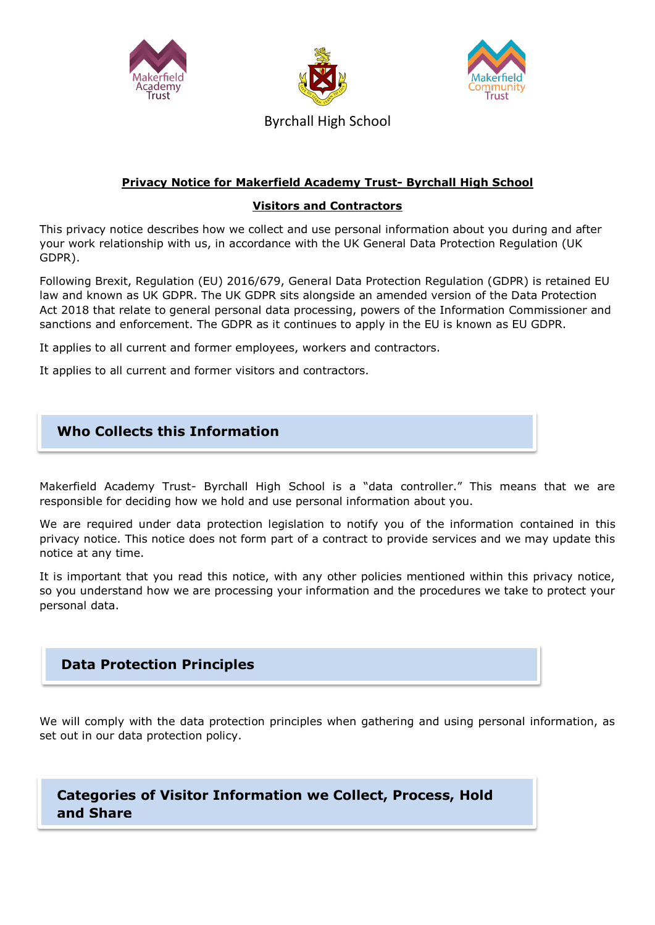





**Privacy Notice for Makerfield Academy Trust- Byrchall High School**

#### **Visitors and Contractors**

This privacy notice describes how we collect and use personal information about you during and after your work relationship with us, in accordance with the UK General Data Protection Regulation (UK GDPR).

Following Brexit, Regulation (EU) 2016/679, General Data Protection Regulation (GDPR) is retained EU law and known as UK GDPR. The UK GDPR sits alongside an amended version of the Data Protection Act 2018 that relate to general personal data processing, powers of the Information Commissioner and sanctions and enforcement. The GDPR as it continues to apply in the EU is known as EU GDPR.

It applies to all current and former employees, workers and contractors.

It applies to all current and former visitors and contractors.

# **Who Collects this Information**

Makerfield Academy Trust- Byrchall High School is a "data controller." This means that we are responsible for deciding how we hold and use personal information about you.

We are required under data protection legislation to notify you of the information contained in this privacy notice. This notice does not form part of a contract to provide services and we may update this notice at any time.

It is important that you read this notice, with any other policies mentioned within this privacy notice, so you understand how we are processing your information and the procedures we take to protect your personal data.

## **Data Protection Principles**

We will comply with the data protection principles when gathering and using personal information, as set out in our data protection policy.

**Categories of Visitor Information we Collect, Process, Hold and Share**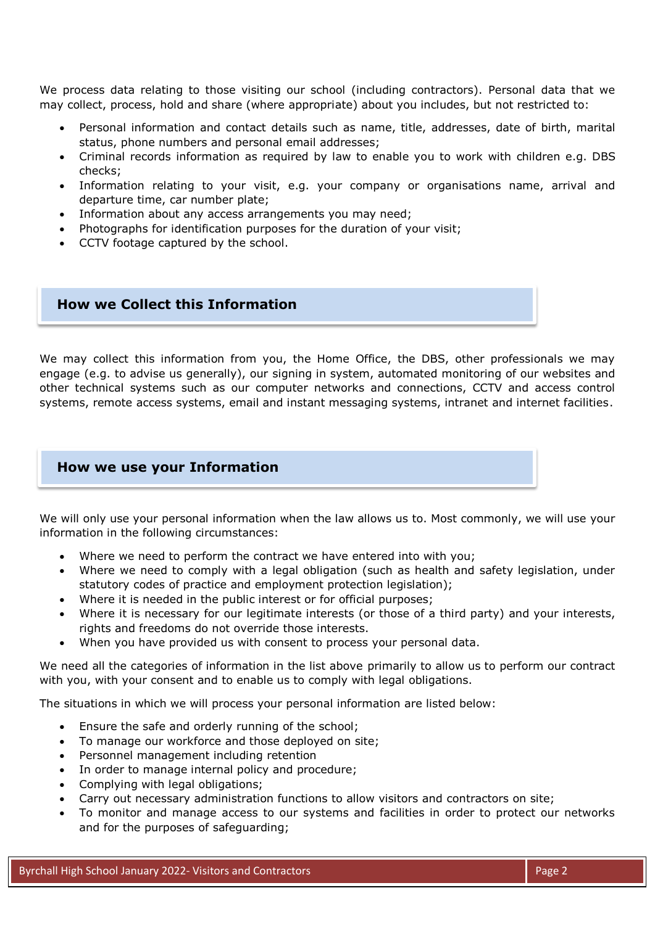We process data relating to those visiting our school (including contractors). Personal data that we may collect, process, hold and share (where appropriate) about you includes, but not restricted to:

- Personal information and contact details such as name, title, addresses, date of birth, marital status, phone numbers and personal email addresses;
- Criminal records information as required by law to enable you to work with children e.g. DBS checks;
- Information relating to your visit, e.g. your company or organisations name, arrival and departure time, car number plate;
- Information about any access arrangements you may need;
- Photographs for identification purposes for the duration of your visit;
- CCTV footage captured by the school.

#### **How we Collect this Information**

We may collect this information from you, the Home Office, the DBS, other professionals we may engage (e.g. to advise us generally), our signing in system, automated monitoring of our websites and other technical systems such as our computer networks and connections, CCTV and access control systems, remote access systems, email and instant messaging systems, intranet and internet facilities.

#### **How we use your Information**

We will only use your personal information when the law allows us to. Most commonly, we will use your information in the following circumstances:

- Where we need to perform the contract we have entered into with you;
- Where we need to comply with a legal obligation (such as health and safety legislation, under statutory codes of practice and employment protection legislation);
- Where it is needed in the public interest or for official purposes;
- Where it is necessary for our legitimate interests (or those of a third party) and your interests, rights and freedoms do not override those interests.
- When you have provided us with consent to process your personal data.

We need all the categories of information in the list above primarily to allow us to perform our contract with you, with your consent and to enable us to comply with legal obligations.

The situations in which we will process your personal information are listed below:

- Ensure the safe and orderly running of the school;
- To manage our workforce and those deployed on site;
- Personnel management including retention
- In order to manage internal policy and procedure;
- Complying with legal obligations;
- Carry out necessary administration functions to allow visitors and contractors on site;
- To monitor and manage access to our systems and facilities in order to protect our networks and for the purposes of safeguarding;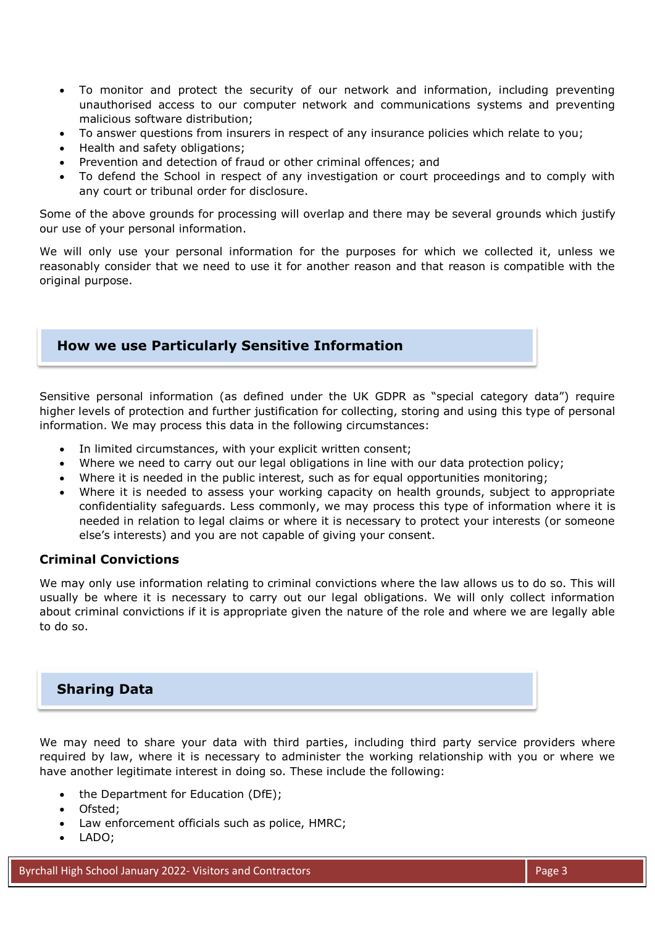- To monitor and protect the security of our network and information, including preventing unauthorised access to our computer network and communications systems and preventing malicious software distribution;
- To answer questions from insurers in respect of any insurance policies which relate to you;
- Health and safety obligations;
- Prevention and detection of fraud or other criminal offences; and
- To defend the School in respect of any investigation or court proceedings and to comply with any court or tribunal order for disclosure.

Some of the above grounds for processing will overlap and there may be several grounds which justify our use of your personal information.

We will only use your personal information for the purposes for which we collected it, unless we reasonably consider that we need to use it for another reason and that reason is compatible with the original purpose.

### **How we use Particularly Sensitive Information**

Sensitive personal information (as defined under the UK GDPR as "special category data") require higher levels of protection and further justification for collecting, storing and using this type of personal information. We may process this data in the following circumstances:

- In limited circumstances, with your explicit written consent;
- Where we need to carry out our legal obligations in line with our data protection policy;
- Where it is needed in the public interest, such as for equal opportunities monitoring;
- Where it is needed to assess your working capacity on health grounds, subject to appropriate confidentiality safeguards. Less commonly, we may process this type of information where it is needed in relation to legal claims or where it is necessary to protect your interests (or someone else's interests) and you are not capable of giving your consent.

#### **Criminal Convictions**

We may only use information relating to criminal convictions where the law allows us to do so. This will usually be where it is necessary to carry out our legal obligations. We will only collect information about criminal convictions if it is appropriate given the nature of the role and where we are legally able to do so.

#### **Sharing Data**

We may need to share your data with third parties, including third party service providers where required by law, where it is necessary to administer the working relationship with you or where we have another legitimate interest in doing so. These include the following:

- the Department for Education (DfE);
- Ofsted;
- Law enforcement officials such as police, HMRC;
- LADO;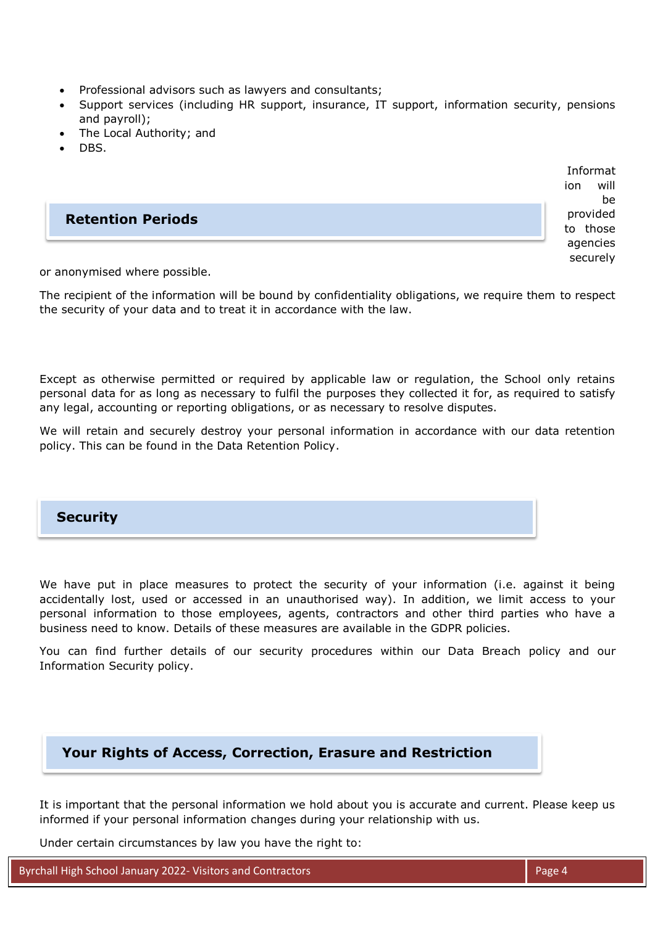- Professional advisors such as lawyers and consultants;
- Support services (including HR support, insurance, IT support, information security, pensions and payroll);
- The Local Authority; and
- DBS.



or anonymised where possible.

The recipient of the information will be bound by confidentiality obligations, we require them to respect the security of your data and to treat it in accordance with the law.

Except as otherwise permitted or required by applicable law or regulation, the School only retains personal data for as long as necessary to fulfil the purposes they collected it for, as required to satisfy any legal, accounting or reporting obligations, or as necessary to resolve disputes.

We will retain and securely destroy your personal information in accordance with our data retention policy. This can be found in the Data Retention Policy.

#### **Security**

We have put in place measures to protect the security of your information (i.e. against it being accidentally lost, used or accessed in an unauthorised way). In addition, we limit access to your personal information to those employees, agents, contractors and other third parties who have a business need to know. Details of these measures are available in the GDPR policies.

You can find further details of our security procedures within our Data Breach policy and our Information Security policy.

# **Your Rights of Access, Correction, Erasure and Restriction**

It is important that the personal information we hold about you is accurate and current. Please keep us informed if your personal information changes during your relationship with us.

Under certain circumstances by law you have the right to:

Byrchall High School January 2022- Visitors and Contractors Page 4 Assessment Research 2022- Page 4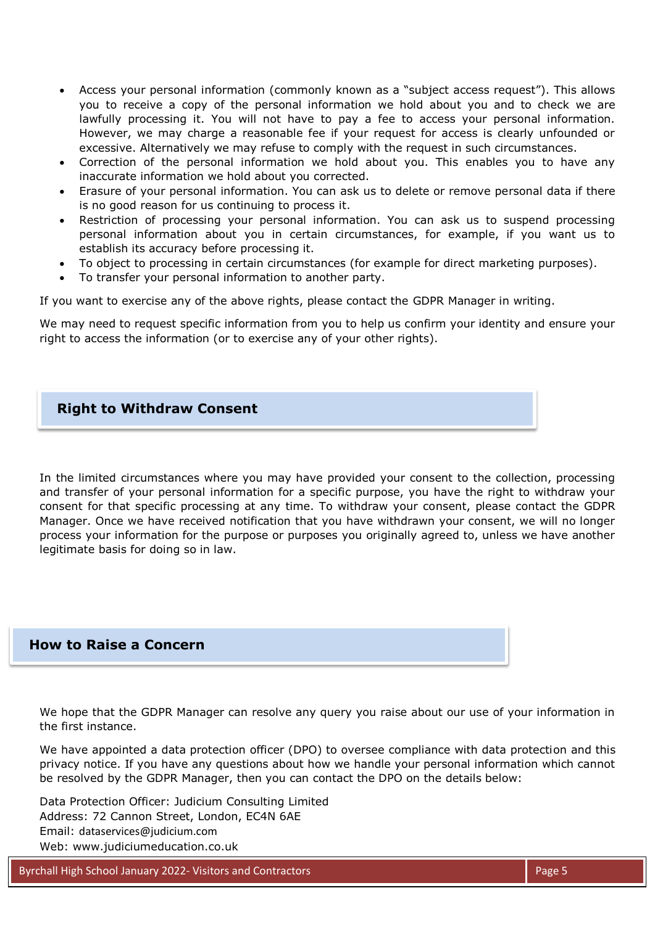- Access your personal information (commonly known as a "subject access request"). This allows you to receive a copy of the personal information we hold about you and to check we are lawfully processing it. You will not have to pay a fee to access your personal information. However, we may charge a reasonable fee if your request for access is clearly unfounded or excessive. Alternatively we may refuse to comply with the request in such circumstances.
- Correction of the personal information we hold about you. This enables you to have any inaccurate information we hold about you corrected.
- Erasure of your personal information. You can ask us to delete or remove personal data if there is no good reason for us continuing to process it.
- Restriction of processing your personal information. You can ask us to suspend processing personal information about you in certain circumstances, for example, if you want us to establish its accuracy before processing it.
- To object to processing in certain circumstances (for example for direct marketing purposes).
- To transfer your personal information to another party.

If you want to exercise any of the above rights, please contact the GDPR Manager in writing.

We may need to request specific information from you to help us confirm your identity and ensure your right to access the information (or to exercise any of your other rights).

#### **Right to Withdraw Consent**

In the limited circumstances where you may have provided your consent to the collection, processing and transfer of your personal information for a specific purpose, you have the right to withdraw your consent for that specific processing at any time. To withdraw your consent, please contact the GDPR Manager. Once we have received notification that you have withdrawn your consent, we will no longer process your information for the purpose or purposes you originally agreed to, unless we have another legitimate basis for doing so in law.

#### **How to Raise a Concern**

We hope that the GDPR Manager can resolve any query you raise about our use of your information in the first instance.

We have appointed a data protection officer (DPO) to oversee compliance with data protection and this privacy notice. If you have any questions about how we handle your personal information which cannot be resolved by the GDPR Manager, then you can contact the DPO on the details below:

Data Protection Officer: Judicium Consulting Limited Address: 72 Cannon Street, London, EC4N 6AE Email: [dataservices@judicium.com](mailto:dataservices@judicium.com) Web: www.judiciumeducation.co.uk